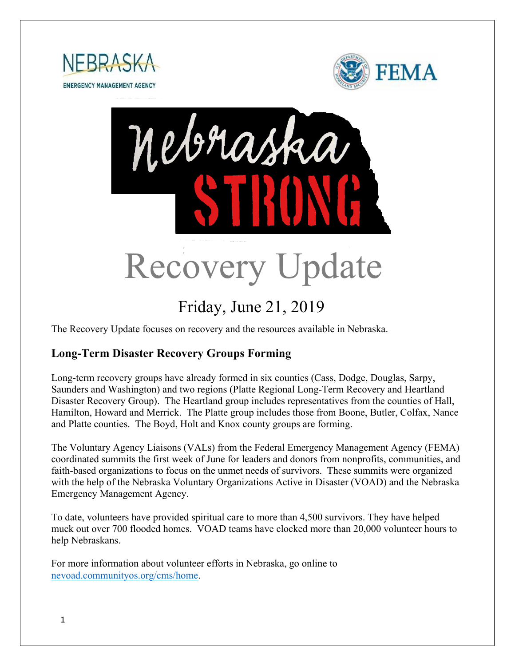





# Friday, June 21, 2019

The Recovery Update focuses on recovery and the resources available in Nebraska.

## **Long-Term Disaster Recovery Groups Forming**

Long-term recovery groups have already formed in six counties (Cass, Dodge, Douglas, Sarpy, Saunders and Washington) and two regions (Platte Regional Long-Term Recovery and Heartland Disaster Recovery Group). The Heartland group includes representatives from the counties of Hall, Hamilton, Howard and Merrick. The Platte group includes those from Boone, Butler, Colfax, Nance and Platte counties. The Boyd, Holt and Knox county groups are forming.

The Voluntary Agency Liaisons (VALs) from the Federal Emergency Management Agency (FEMA) coordinated summits the first week of June for leaders and donors from nonprofits, communities, and faith-based organizations to focus on the unmet needs of survivors. These summits were organized with the help of the Nebraska Voluntary Organizations Active in Disaster (VOAD) and the Nebraska Emergency Management Agency.

To date, volunteers have provided spiritual care to more than 4,500 survivors. They have helped muck out over 700 flooded homes. VOAD teams have clocked more than 20,000 volunteer hours to help Nebraskans.

For more information about volunteer efforts in Nebraska, go online to [nevoad.communityos.org/cms/home.](https://nevoad.communityos.org/cms/home)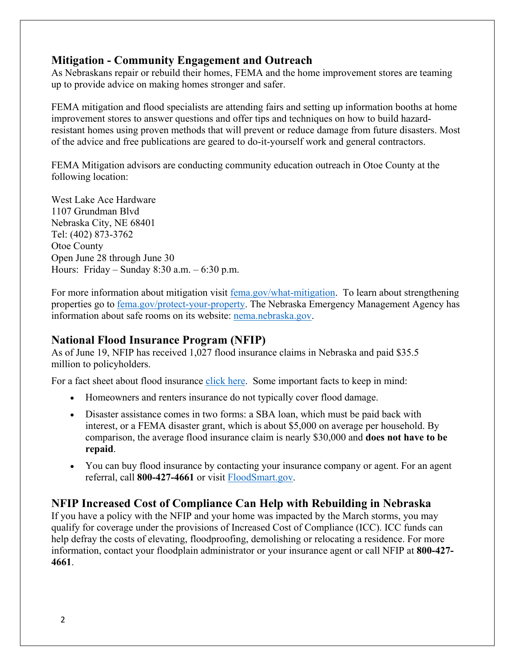#### **Mitigation - Community Engagement and Outreach**

As Nebraskans repair or rebuild their homes, FEMA and the home improvement stores are teaming up to provide advice on making homes stronger and safer.

FEMA mitigation and flood specialists are attending fairs and setting up information booths at home improvement stores to answer questions and offer tips and techniques on how to build hazardresistant homes using proven methods that will prevent or reduce damage from future disasters. Most of the advice and free publications are geared to do-it-yourself work and general contractors.

FEMA Mitigation advisors are conducting community education outreach in Otoe County at the following location:

West Lake Ace Hardware 1107 Grundman Blvd Nebraska City, NE 68401 Tel: (402) 873-3762 Otoe County Open June 28 through June 30 Hours: Friday – Sunday 8:30 a.m. – 6:30 p.m.

For more information about mitigation visit [fema.gov/what-mitigation.](http://www.fema.gov/what-mitigation) To learn about strengthening properties go to **fema.gov/protect-your-property**. The Nebraska Emergency Management Agency has information about safe rooms on its website: [nema.nebraska.gov.](https://nema.nebraska.gov/)

#### **National Flood Insurance Program (NFIP)**

As of June 19, NFIP has received 1,027 flood insurance claims in Nebraska and paid \$35.5 million to policyholders.

For a fact sheet about flood insurance [click here.](https://www.fema.gov/news-release/2019/05/29/fact-sheet-why-should-i-buy-flood-insurance) Some important facts to keep in mind:

- Homeowners and renters insurance do not typically cover flood damage.
- Disaster assistance comes in two forms: a SBA loan, which must be paid back with interest, or a FEMA disaster grant, which is about \$5,000 on average per household. By comparison, the average flood insurance claim is nearly \$30,000 and **does not have to be repaid**.
- You can buy flood insurance by contacting your insurance company or agent. For an agent referral, call **800-427-4661** or visit [FloodSmart.gov.](https://www.floodsmart.gov/)

## **NFIP Increased Cost of Compliance Can Help with Rebuilding in Nebraska**

If you have a policy with the NFIP and your home was impacted by the March storms, you may qualify for coverage under the provisions of Increased Cost of Compliance (ICC). ICC funds can help defray the costs of elevating, floodproofing, demolishing or relocating a residence. For more information, contact your floodplain administrator or your insurance agent or call NFIP at **800-427- 4661**.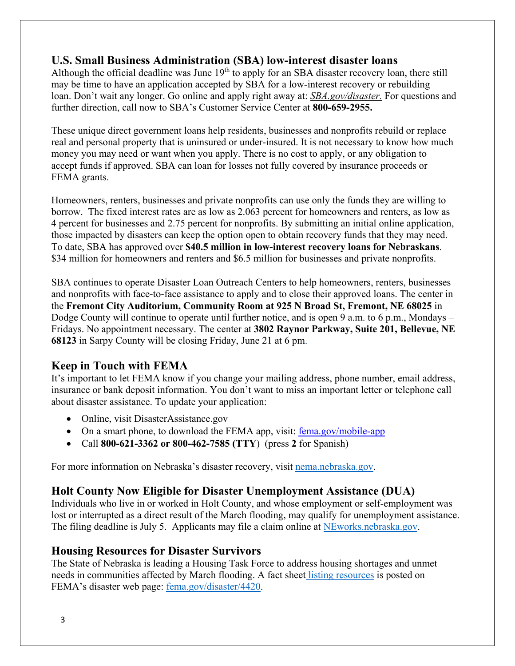## **U.S. Small Business Administration (SBA) low-interest disaster loans**

Although the official deadline was June  $19<sup>th</sup>$  to apply for an SBA disaster recovery loan, there still may be time to have an application accepted by SBA for a low-interest recovery or rebuilding loan. Don't wait any longer. Go online and apply right away at: *[SBA.gov/disaster.](http://www.sba.gov/disaster)* For questions and further direction, call now to SBA's Customer Service Center at **800-659-2955.**

These unique direct government loans help residents, businesses and nonprofits rebuild or replace real and personal property that is uninsured or under-insured. It is not necessary to know how much money you may need or want when you apply. There is no cost to apply, or any obligation to accept funds if approved. SBA can loan for losses not fully covered by insurance proceeds or FEMA grants.

Homeowners, renters, businesses and private nonprofits can use only the funds they are willing to borrow. The fixed interest rates are as low as 2.063 percent for homeowners and renters, as low as 4 percent for businesses and 2.75 percent for nonprofits. By submitting an initial online application, those impacted by disasters can keep the option open to obtain recovery funds that they may need. To date, SBA has approved over **\$40.5 million in low-interest recovery loans for Nebraskans**. \$34 million for homeowners and renters and \$6.5 million for businesses and private nonprofits.

SBA continues to operate Disaster Loan Outreach Centers to help homeowners, renters, businesses and nonprofits with face-to-face assistance to apply and to close their approved loans. The center in the **Fremont City Auditorium, Community Room at 925 N Broad St, Fremont, NE 68025** in Dodge County will continue to operate until further notice, and is open 9 a.m. to 6 p.m., Mondays – Fridays. No appointment necessary. The center at **3802 Raynor Parkway, Suite 201, Bellevue, NE 68123** in Sarpy County will be closing Friday, June 21 at 6 pm.

#### **Keep in Touch with FEMA**

It's important to let FEMA know if you change your mailing address, phone number, email address, insurance or bank deposit information. You don't want to miss an important letter or telephone call about disaster assistance. To update your application:

- Online, visit DisasterAssistance.gov
- On a smart phone, to download the FEMA app, visit: fema.gov/mobile-app
- Call **800-621-3362 or 800-462-7585 (TTY**) (press **2** for Spanish)

For more information on Nebraska's disaster recovery, visit [nema.nebraska.gov.](http://nema.nebraska.gov/)

## **[Holt County Now Eligible for Disaster Unemployment Assistance \(DUA\)](https://dol.nebraska.gov/PressRelease/Details/118)**

Individuals who live in or worked in Holt County, and whose employment or self-employment was lost or interrupted as a direct result of the March flooding, may qualify for unemployment assistance. The filing deadline is July 5. Applicants may file a claim online at [NEworks.nebraska.gov.](https://neworks.nebraska.gov/vosnet/Default.aspx)

#### **Housing Resources for Disaster Survivors**

The State of Nebraska is leading a Housing Task Force to address housing shortages and unmet needs in communities affected by March flooding. A fact sheet [listing resources](https://edit.fema.gov/news-release/2019/04/19/fact-sheet-housing-resources-residents-nebraska-affected-march-storms-0) is posted on FEMA's disaster web page: [fema.gov/disaster/4420.](http://www.fema.gov/disaster/4420)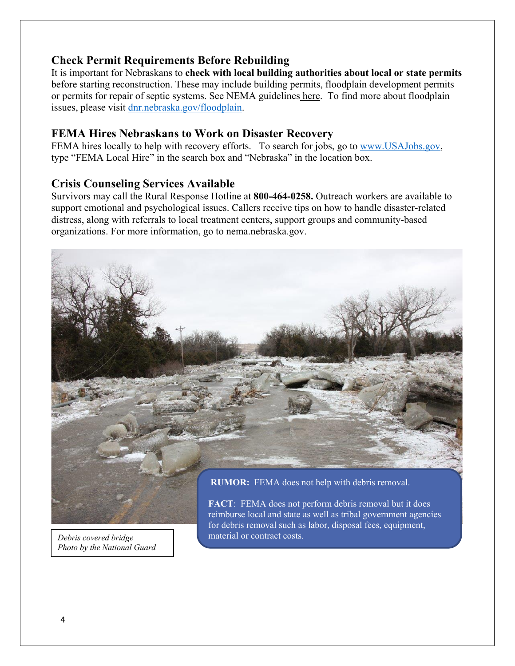#### **Check Permit Requirements Before Rebuilding**

It is important for Nebraskans to **check with local building authorities about local or state permits** before starting reconstruction. These may include building permits, floodplain development permits or permits for repair of septic systems. See NEMA guidelines [here.](https://nema.nebraska.gov/sites/nema.nebraska.gov/files/doc/ehp-considerations.pdf) To find more about floodplain issues, please visit [dnr.nebraska.gov/floodplain.](https://dnr.nebraska.gov/floodplain)

#### **FEMA Hires Nebraskans to Work on Disaster Recovery**

FEMA hires locally to help with recovery efforts. To search for jobs, go to [www.USAJobs.gov,](http://www.usajobs.gov/) type "FEMA Local Hire" in the search box and "Nebraska" in the location box.

#### **Crisis Counseling Services Available**

Survivors may call the Rural Response Hotline at **800-464-0258.** Outreach workers are available to support emotional and psychological issues. Callers receive tips on how to handle disaster-related distress, along with referrals to local treatment centers, support groups and community-based organizations. For more information, go to [nema.nebraska.gov.](file://fema.net/R7/DR/DR-4420-NE/EA/Planning%20and%20Products/Writers/Dale%20Bonza/DFS/nema.nebraska.gov)



*Debris covered bridge Photo by the National Guard* 

**FACT**: FEMA does not perform debris removal but it does reimburse local and state as well as tribal government agencies for debris removal such as labor, disposal fees, equipment, material or contract costs.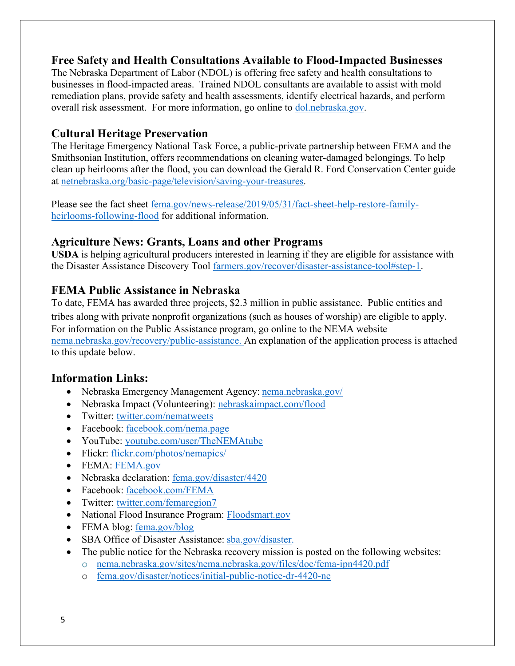#### **Free Safety and Health Consultations Available to Flood-Impacted Businesses**

The Nebraska Department of Labor (NDOL) is offering free safety and health consultations to businesses in flood-impacted areas. Trained NDOL consultants are available to assist with mold remediation plans, provide safety and health assessments, identify electrical hazards, and perform overall risk assessment. For more information, go online to [dol.nebraska.gov.](https://dol.nebraska.gov/PressRelease/Details/117)

### **Cultural Heritage Preservation**

The Heritage Emergency National Task Force, a public-private partnership between FEMA and the Smithsonian Institution, offers recommendations on cleaning water-damaged belongings. To help clean up heirlooms after the flood, you can download the Gerald R. Ford Conservation Center guide at [netnebraska.org/basic-page/television/saving-your-treasures.](http://netnebraska.org/basic-page/television/saving-your-treasures)

Please see the fact sheet [fema.gov/news-release/2019/05/31/fact-sheet-help-restore-family](https://www.fema.gov/news-release/2019/05/31/fact-sheet-help-restore-family-heirlooms-following-flood)[heirlooms-following-flood](https://www.fema.gov/news-release/2019/05/31/fact-sheet-help-restore-family-heirlooms-following-flood) for additional information.

## **Agriculture News: Grants, Loans and other Programs**

**USDA** is helping agricultural producers interested in learning if they are eligible for assistance with the Disaster Assistance Discovery Tool [farmers.gov/recover/disaster-assistance-tool#step-1.](https://www.farmers.gov/recover/disaster-assistance-tool#step-1)

## **FEMA Public Assistance in Nebraska**

To date, FEMA has awarded three projects, \$2.3 million in public assistance. Public entities and tribes along with private nonprofit organizations (such as houses of worship) are eligible to apply. For information on the Public Assistance program, go online to the NEMA website [nema.nebraska.gov/recovery/public-assistance.](https://nema.nebraska.gov/recovery/public-assistance) An explanation of the application process is attached to this update below.

## **Information Links:**

- Nebraska Emergency Management Agency: [nema.nebraska.gov/](https://nema.nebraska.gov/)
- Nebraska Impact (Volunteering): [nebraskaimpact.com/flood](http://www.nebraskaimpact.com/flood)
- Twitter: [twitter.com/nematweets](https://twitter.com/nematweets)
- Facebook: [facebook.com/nema.page](https://www.facebook.com/nema.page)
- YouTube: [youtube.com/user/TheNEMAtube](https://www.youtube.com/user/TheNEMAtube)
- Flickr: [flickr.com/photos/nemapics/](https://www.flickr.com/photos/nemapics/)
- FEMA: [FEMA.gov](https://www.fema.gov/)
- Nebraska declaration: [fema.gov/disaster/4420](https://www.fema.gov/disaster/4420)
- Facebook: [facebook.com/FEMA](https://www.facebook.com/FEMA)
- Twitter: [twitter.com/femaregion7](https://twitter.com/femaregion7)
- National Flood Insurance Program: [Floodsmart.gov](https://www.floodsmart.gov/)
- FEMA blog: [fema.gov/blog](https://www.fema.gov/blog)
- SBA Office of Disaster Assistance: [sba.gov/disaster.](http://www.sba.gov/disaster)
- The public notice for the Nebraska recovery mission is posted on the following websites:
	- o [nema.nebraska.gov/sites/nema.nebraska.gov/files/doc/fema-ipn4420.pdf](https://nema.nebraska.gov/sites/nema.nebraska.gov/files/doc/fema-ipn4420.pdf)
	- o [fema.gov/disaster/notices/initial-public-notice-dr-4420-ne](https://www.fema.gov/disaster/notices/initial-public-notice-dr-4420-ne)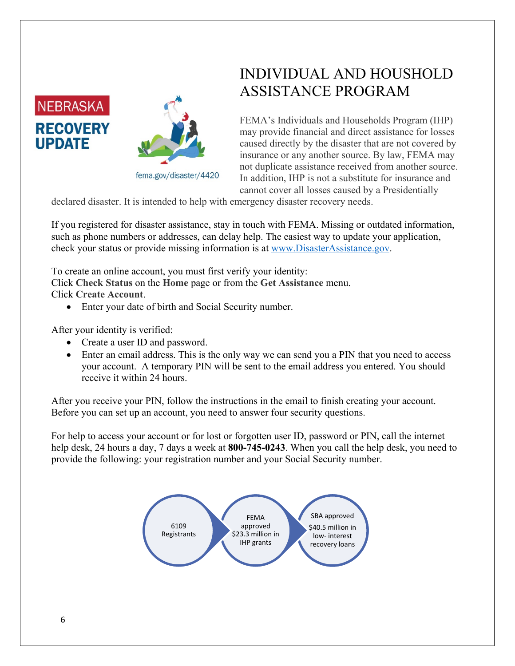



#### fema.gov/disaster/4420

## INDIVIDUAL AND HOUSHOLD ASSISTANCE PROGRAM

FEMA's Individuals and Households Program (IHP) may provide financial and direct assistance for losses caused directly by the disaster that are not covered by insurance or any another source. By law, FEMA may not duplicate assistance received from another source. In addition, IHP is not a substitute for insurance and cannot cover all losses caused by a Presidentially

declared disaster. It is intended to help with emergency disaster recovery needs.

If you registered for disaster assistance, stay in touch with FEMA. Missing or outdated information, such as phone numbers or addresses, can delay help. The easiest way to update your application, check your status or provide missing information is at [www.DisasterAssistance.gov.](http://www.disasterassistance.gov/)

To create an online account, you must first verify your identity:

Click **Check Status** on the **Home** page or from the **Get Assistance** menu.

Click **Create Account**.

• Enter your date of birth and Social Security number.

After your identity is verified:

- Create a user ID and password.
- Enter an email address. This is the only way we can send you a PIN that you need to access your account. A temporary PIN will be sent to the email address you entered. You should receive it within 24 hours.

After you receive your PIN, follow the instructions in the email to finish creating your account. Before you can set up an account, you need to answer four security questions.

For help to access your account or for lost or forgotten user ID, password or PIN, call the internet help desk, 24 hours a day, 7 days a week at **800-745-0243**. When you call the help desk, you need to provide the following: your registration number and your Social Security number.